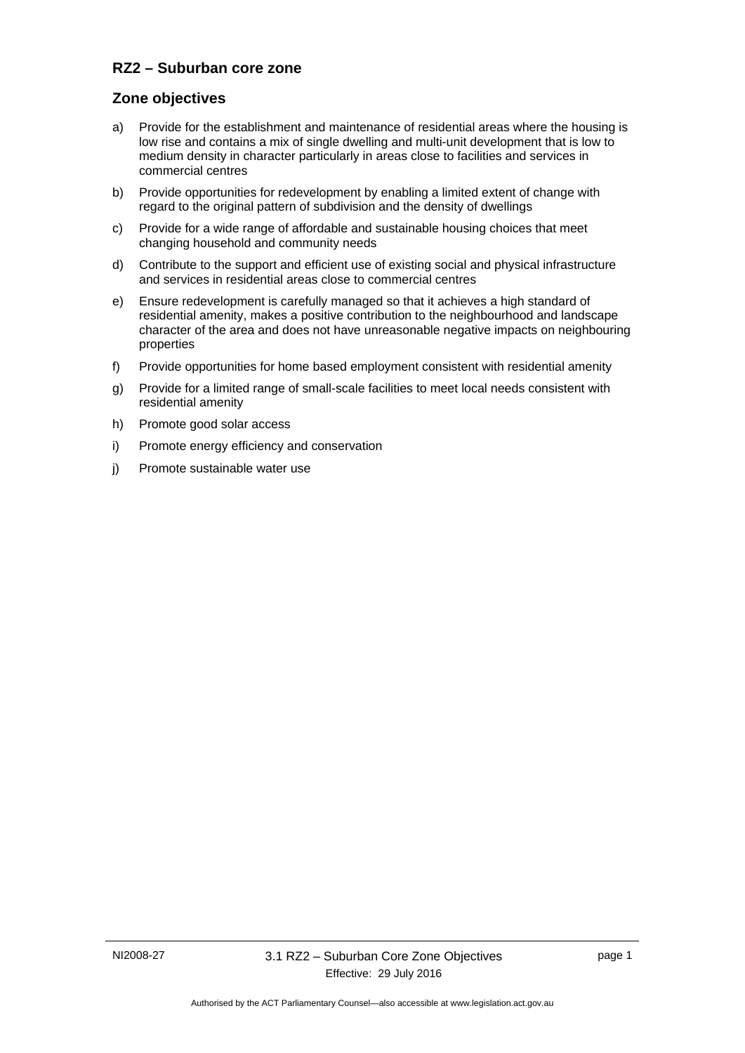### **RZ2 – Suburban core zone**

### **Zone objectives**

- a) Provide for the establishment and maintenance of residential areas where the housing is low rise and contains a mix of single dwelling and multi-unit development that is low to medium density in character particularly in areas close to facilities and services in commercial centres
- b) Provide opportunities for redevelopment by enabling a limited extent of change with regard to the original pattern of subdivision and the density of dwellings
- c) Provide for a wide range of affordable and sustainable housing choices that meet changing household and community needs
- d) Contribute to the support and efficient use of existing social and physical infrastructure and services in residential areas close to commercial centres
- e) Ensure redevelopment is carefully managed so that it achieves a high standard of residential amenity, makes a positive contribution to the neighbourhood and landscape character of the area and does not have unreasonable negative impacts on neighbouring properties
- f) Provide opportunities for home based employment consistent with residential amenity
- g) Provide for a limited range of small-scale facilities to meet local needs consistent with residential amenity
- h) Promote good solar access
- i) Promote energy efficiency and conservation
- j) Promote sustainable water use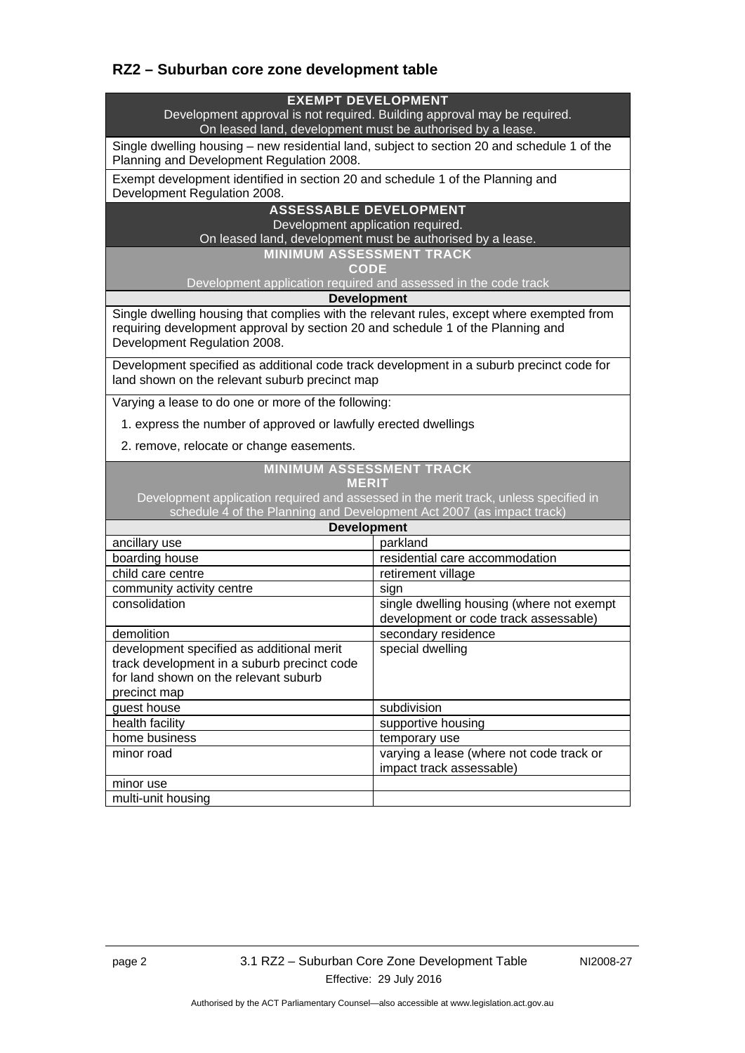# **RZ2 – Suburban core zone development table**

#### **EXEMPT DEVELOPMENT**

Development approval is not required. Building approval may be required. On leased land, development must be authorised by a lease.

Single dwelling housing – new residential land, subject to section 20 and schedule 1 of the Planning and Development Regulation 2008.

Exempt development identified in section 20 and schedule 1 of the Planning and Development Regulation 2008.

#### **ASSESSABLE DEVELOPMENT**

Development application required.

On leased land, development must be authorised by a lease.

**MINIMUM ASSESSMENT TRACK** 

**CODE** 

Development application required and assessed in the code track

#### **Development**

Single dwelling housing that complies with the relevant rules, except where exempted from requiring development approval by section 20 and schedule 1 of the Planning and Development Regulation 2008.

Development specified as additional code track development in a suburb precinct code for land shown on the relevant suburb precinct map

Varying a lease to do one or more of the following:

1. express the number of approved or lawfully erected dwellings

2. remove, relocate or change easements.

#### **MINIMUM ASSESSMENT TRACK**

### **MERIT**

Development application required and assessed in the merit track, unless specified in schedule 4 of the Planning and Development Act 2007 (as impact track)

| <b>Development</b>                                                                                                                                |                                                                                    |
|---------------------------------------------------------------------------------------------------------------------------------------------------|------------------------------------------------------------------------------------|
| ancillary use                                                                                                                                     | parkland                                                                           |
| boarding house                                                                                                                                    | residential care accommodation                                                     |
| child care centre                                                                                                                                 | retirement village                                                                 |
| community activity centre                                                                                                                         | sign                                                                               |
| consolidation                                                                                                                                     | single dwelling housing (where not exempt<br>development or code track assessable) |
| demolition                                                                                                                                        | secondary residence                                                                |
| development specified as additional merit<br>track development in a suburb precinct code<br>for land shown on the relevant suburb<br>precinct map | special dwelling                                                                   |
| guest house                                                                                                                                       | subdivision                                                                        |
| health facility                                                                                                                                   | supportive housing                                                                 |
| home business                                                                                                                                     | temporary use                                                                      |
| minor road                                                                                                                                        | varying a lease (where not code track or<br>impact track assessable)               |
| minor use                                                                                                                                         |                                                                                    |
| multi-unit housing                                                                                                                                |                                                                                    |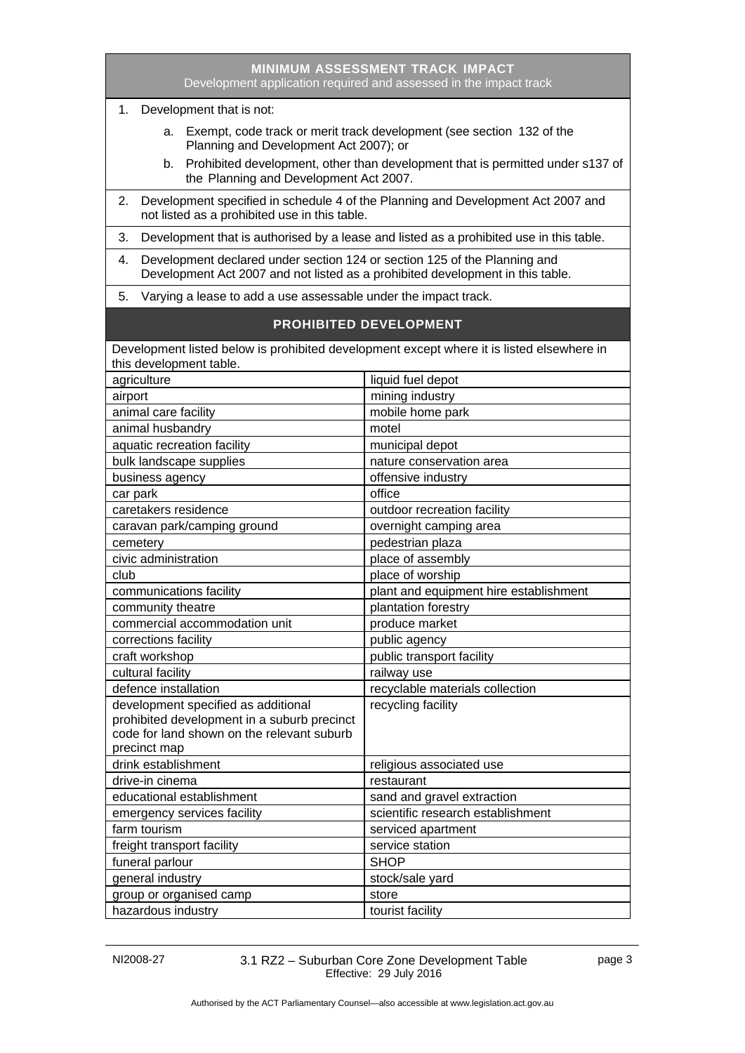| <b>MINIMUM ASSESSMENT TRACK IMPACT</b><br>Development application required and assessed in the impact track                                                                                                                                       |                                        |  |
|---------------------------------------------------------------------------------------------------------------------------------------------------------------------------------------------------------------------------------------------------|----------------------------------------|--|
| 1. Development that is not:                                                                                                                                                                                                                       |                                        |  |
| a. Exempt, code track or merit track development (see section 132 of the<br>Planning and Development Act 2007); or<br>b. Prohibited development, other than development that is permitted under s137 of<br>the Planning and Development Act 2007. |                                        |  |
| Development specified in schedule 4 of the Planning and Development Act 2007 and<br>2.<br>not listed as a prohibited use in this table.                                                                                                           |                                        |  |
| Development that is authorised by a lease and listed as a prohibited use in this table.<br>3.                                                                                                                                                     |                                        |  |
| Development declared under section 124 or section 125 of the Planning and<br>4.<br>Development Act 2007 and not listed as a prohibited development in this table.                                                                                 |                                        |  |
| Varying a lease to add a use assessable under the impact track.<br>5.                                                                                                                                                                             |                                        |  |
| <b>PROHIBITED DEVELOPMENT</b>                                                                                                                                                                                                                     |                                        |  |
| Development listed below is prohibited development except where it is listed elsewhere in                                                                                                                                                         |                                        |  |
| this development table.                                                                                                                                                                                                                           |                                        |  |
| agriculture                                                                                                                                                                                                                                       | liquid fuel depot                      |  |
| airport                                                                                                                                                                                                                                           | mining industry                        |  |
| animal care facility                                                                                                                                                                                                                              | mobile home park                       |  |
| animal husbandry                                                                                                                                                                                                                                  | motel                                  |  |
| aquatic recreation facility                                                                                                                                                                                                                       | municipal depot                        |  |
| bulk landscape supplies                                                                                                                                                                                                                           | nature conservation area               |  |
| business agency                                                                                                                                                                                                                                   | offensive industry                     |  |
| car park                                                                                                                                                                                                                                          | office                                 |  |
| caretakers residence                                                                                                                                                                                                                              | outdoor recreation facility            |  |
| caravan park/camping ground                                                                                                                                                                                                                       | overnight camping area                 |  |
| cemetery                                                                                                                                                                                                                                          | pedestrian plaza                       |  |
| civic administration                                                                                                                                                                                                                              | place of assembly                      |  |
| club                                                                                                                                                                                                                                              | place of worship                       |  |
| communications facility                                                                                                                                                                                                                           | plant and equipment hire establishment |  |
| community theatre                                                                                                                                                                                                                                 | plantation forestry                    |  |
| commercial accommodation unit                                                                                                                                                                                                                     | produce market                         |  |
| corrections facility                                                                                                                                                                                                                              | public agency                          |  |
| craft workshop                                                                                                                                                                                                                                    | public transport facility              |  |
| cultural facility                                                                                                                                                                                                                                 | railway use                            |  |
| defence installation                                                                                                                                                                                                                              | recyclable materials collection        |  |
| development specified as additional                                                                                                                                                                                                               | recycling facility                     |  |
| prohibited development in a suburb precinct                                                                                                                                                                                                       |                                        |  |
| code for land shown on the relevant suburb                                                                                                                                                                                                        |                                        |  |
| precinct map                                                                                                                                                                                                                                      |                                        |  |
| drink establishment                                                                                                                                                                                                                               | religious associated use               |  |
| drive-in cinema                                                                                                                                                                                                                                   | restaurant                             |  |
| educational establishment                                                                                                                                                                                                                         | sand and gravel extraction             |  |
| emergency services facility                                                                                                                                                                                                                       | scientific research establishment      |  |
| farm tourism                                                                                                                                                                                                                                      | serviced apartment                     |  |
| freight transport facility                                                                                                                                                                                                                        | service station                        |  |
| funeral parlour                                                                                                                                                                                                                                   | <b>SHOP</b>                            |  |
| general industry                                                                                                                                                                                                                                  | stock/sale yard                        |  |
| group or organised camp                                                                                                                                                                                                                           | store                                  |  |
| hazardous industry                                                                                                                                                                                                                                | tourist facility                       |  |